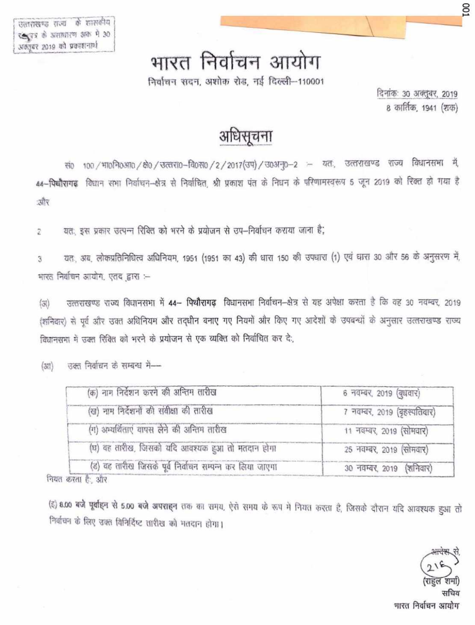# भारत निर्वाचन आयोग

निर्वाचन सदन, अशोक रोड, नई दिल्ली-110001

दिनांकः 30 अक्तूबर, 2019 8 कार्तिक, 1941 (शक)

## अधिसूचना

सं0 100 / माऽनि०आ० / क्षे० / उत्तरा0-वि०स० / 2 / 2017 (उप) / उ०अनु०-2 - यतः, उत्तराखण्ड राज्य विधानसमा में, 44-पिष्पौरागढ़ विधान सभा निर्वाचन-क्षेत्र से निर्वाचित, श्री प्रकाश पंत के निधन के परिणामस्वरूप 5 जून 2019 को रिक्त हो गया है ज़ौर

यत: इस प्रकार जत्पन्न रिवित को भरने के प्रयोजन से उप-निर्वाचन कराया जाना है; 2

यत, अब, लोकप्रतिनिधित्व अधिनियम, 1951 (1951 का 43) की धारा 150 की उपधारा (1) एवं घारा 30 और 56 के अनुसरण में, 3 भारत निर्वाचन आयोग, एतद द्वारा :-

उत्तराखण्ड राज्य विघानसभा में 44- पिथौरागढ़ विधानसभा निर्वाचन-क्षेत्र से यह अपेक्षा करता है कि वह 30 नवम्बर, 2019  $(\mathfrak{F})$ (शनिवार) से पूर्व और उक्त अधिनियम और तद्धीन बनाए गए नियमों और किए गए आदेशों के उपबन्धों के अनुसार उत्तराखण्ड राज्य विद्यानसभा में उक्त रिवित को भरने के प्रयोजन से एक व्यक्ति को निर्वाचित कर दे:

उक्त निर्वाचन के सम्बन्ध में- $\langle 33 \rangle$ 

| (क) नाम निर्देशन करने की अन्तिम तारीख                   | 6 नवम्बर, 2019 (बुधवार)      |
|---------------------------------------------------------|------------------------------|
| (ख) नाम निर्देशनों की संवीक्षा की तारीख                 | 7 नवम्बर, 2019 (बृहस्पतिवार) |
| (ग) अम्यर्थिताएं यापस लेने की अन्तिम तारीख              | 11 नवम्बर, 2019 (सोमवार)     |
| (घ) वह तारीख, जिसको यदि आवश्यक हुआ तो मतदान होगा        | 25 नवम्बर, 2019 (सोमवार)     |
| (ड) वह तारीख जिसके पूर्व निर्वाचन सम्पन्न कर लिया जाएगा | 30 नवम्बर, 2019 (शनिवार)     |

नियत करता है; और

(इ) 8.00 बजे पूर्वाइन से 5.00 बजे अपराइन तक का समय, ऐसे समय के रूप में नियत करता है, जिसके दौरान यदि आवश्यक हुआ तो निर्वाचन के लिए उक्त विनिर्दिष्ट तारीख को मतदान होगा।

भारत निर्वाचन आयोग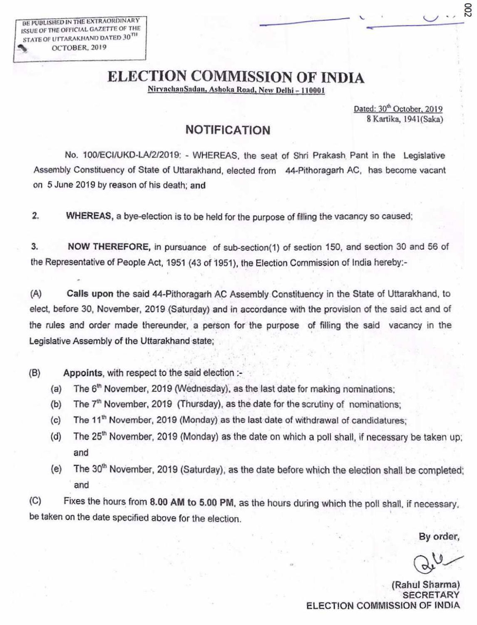BE PUBLISHED IN THE EXTRAOKI)INARY ISSUE OF THE OFFICIAL GAZETTE OF THE STATE OF UITARAKHAND DATED 30 OCTOBER, 2019

### ELECTION COMMISSION OF INDIA

NirvachanSadan, Ashoka Road, New Delhi - 110001

Dated: 30<sup>th</sup> October, 2019 SKartika, 1941(Saka) So

#### **NOTIFICATION**

No. 100/EClIUKD-LN2/2019: - WHEREAS, the seat of Shri Prakash. Pant in the Legislative Assembly Constituency of State of Uttarakhand, elected from 44-Pithoragarh AC, has become vacant on 5 June 2019 by reason of his death; and

2. WHEREAS, a bye-election is to be held for the purpose of filling the vacancy so caused:

3. NOW THEREFORE, in pursuance of sub-section(1) of section 150, and section 30 and 56 of the Representative of People Act, 1951 (43 of 1951), the Election Commission of India hereby:-

**(A) Calls** upon the said 44-Pithoragarh AC Assembly Constituency in the State of Uttarakhand, to elect, before 30, November, 2019 (Saturday) and in accordance with the provision of the said act and of the rules and order made thereunder, a person for the purpose of filling the said vacancy in the Legislative Assembly of the Uttarakhand state;

(B) Appoints, with respect to the said election

- (a) The  $6<sup>th</sup>$  November, 2019 (Wednesday), as the last date for making nominations;
- (b) The  $7<sup>th</sup>$  November, 2019 (Thursday), as the date for the scrutiny of nominations;
- (c) The 11<sup>th</sup> November, 2019 (Monday) as the last date of withdrawal of candidatures;
- (d) The  $25<sup>th</sup>$  November, 2019 (Monday) as the date on which a poll shall, if necessary be taken up; and
- (e) The 30<sup>th</sup> November, 2019 (Saturday), as the date before which the election shall be completed; and

(C) Fixes the hours from 8.00 AM to 5.00 PM, as the hours during which the poll shall, if necessary. be taken on the date specified above for the election.

By order,

(Rahul Sharma) SECRETARY ELECTION COMMISSION OF INDIA